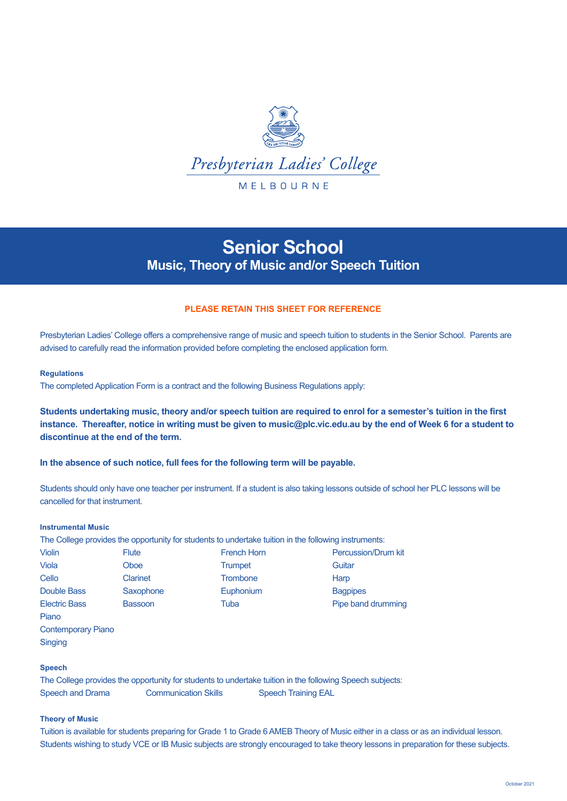

# **Senior School Music, Theory of Music and/or Speech Tuition**

# **PLEASE RETAIN THIS SHEET FOR REFERENCE**

Presbyterian Ladies' College offers a comprehensive range of music and speech tuition to students in the Senior School. Parents are advised to carefully read the information provided before completing the enclosed application form.

## **Regulations**

The completed Application Form is a contract and the following Business Regulations apply:

**Students undertaking music, theory and/or speech tuition are required to enrol for a semester's tuition in the first instance. Thereafter, notice in writing must be given to music@plc.vic.edu.au by the end of Week 6 for a student to discontinue at the end of the term.** 

**In the absence of such notice, full fees for the following term will be payable.** 

Students should only have one teacher per instrument. If a student is also taking lessons outside of school her PLC lessons will be cancelled for that instrument.

# **Instrumental Music**

The College provides the opportunity for students to undertake tuition in the following instruments:

| <b>Violin</b>        | <b>Flute</b>    | <b>French Horn</b> | <b>Percussion/Drum kit</b> |
|----------------------|-----------------|--------------------|----------------------------|
| Viola                | Oboe            | Trumpet            | Guitar                     |
| Cello                | <b>Clarinet</b> | <b>Trombone</b>    | Harp                       |
| Double Bass          | Saxophone       | Euphonium          | <b>Bagpipes</b>            |
| <b>Electric Bass</b> | <b>Bassoon</b>  | Tuba               | Pipe band drumming         |

Piano Contemporary Piano **Singing** 

# **Speech**

The College provides the opportunity for students to undertake tuition in the following Speech subjects: Speech and Drama Communication Skills Speech Training EAL

## **Theory of Music**

Tuition is available for students preparing for Grade 1 to Grade 6 AMEB Theory of Music either in a class or as an individual lesson. Students wishing to study VCE or IB Music subjects are strongly encouraged to take theory lessons in preparation for these subjects.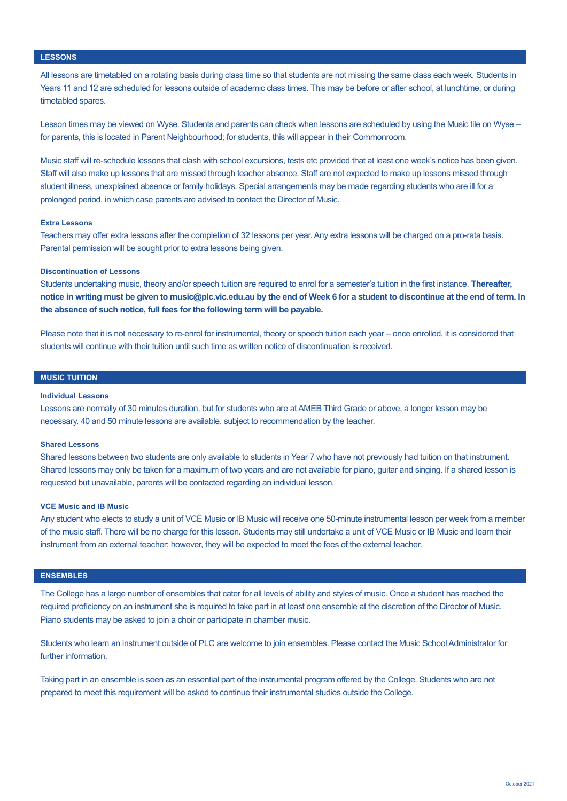## **LESSONS**

All lessons are timetabled on a rotating basis during class time so that students are not missing the same class each week. Students in Years 11 and 12 are scheduled for lessons outside of academic class times. This may be before or after school, at lunchtime, or during timetabled spares.

Lesson times may be viewed on Wyse. Students and parents can check when lessons are scheduled by using the Music tile on Wyse – for parents, this is located in Parent Neighbourhood; for students, this will appear in their Commonroom.

Music staff will re-schedule lessons that clash with school excursions, tests etc provided that at least one week's notice has been given. Staff will also make up lessons that are missed through teacher absence. Staff are not expected to make up lessons missed through student illness, unexplained absence or family holidays. Special arrangements may be made regarding students who are ill for a prolonged period, in which case parents are advised to contact the Director of Music.

## **Extra Lessons**

Teachers may offer extra lessons after the completion of 32 lessons per year. Any extra lessons will be charged on a pro-rata basis. Parental permission will be sought prior to extra lessons being given.

#### **Discontinuation of Lessons**

Students undertaking music, theory and/or speech tuition are required to enrol for a semester's tuition in the first instance. **Thereafter, notice in writing must be given to music@plc.vic.edu.au by the end of Week 6 for a student to discontinue at the end of term. In the absence of such notice, full fees for the following term will be payable.**

Please note that it is not necessary to re-enrol for instrumental, theory or speech tuition each year – once enrolled, it is considered that students will continue with their tuition until such time as written notice of discontinuation is received.

## **MUSIC TUITION**

# **Individual Lessons**

Lessons are normally of 30 minutes duration, but for students who are at AMEB Third Grade or above, a longer lesson may be necessary. 40 and 50 minute lessons are available, subject to recommendation by the teacher.

#### **Shared Lessons**

Shared lessons between two students are only available to students in Year 7 who have not previously had tuition on that instrument. Shared lessons may only be taken for a maximum of two years and are not available for piano, guitar and singing. If a shared lesson is requested but unavailable, parents will be contacted regarding an individual lesson.

#### **VCE Music and IB Music**

Any student who elects to study a unit of VCE Music or IB Music will receive one 50-minute instrumental lesson per week from a member of the music staff. There will be no charge for this lesson. Students may still undertake a unit of VCE Music or IB Music and learn their instrument from an external teacher; however, they will be expected to meet the fees of the external teacher.

## **ENSEMBLES**

The College has a large number of ensembles that cater for all levels of ability and styles of music. Once a student has reached the required proficiency on an instrument she is required to take part in at least one ensemble at the discretion of the Director of Music. Piano students may be asked to join a choir or participate in chamber music.

Students who learn an instrument outside of PLC are welcome to join ensembles. Please contact the Music School Administrator for further information.

Taking part in an ensemble is seen as an essential part of the instrumental program offered by the College. Students who are not prepared to meet this requirement will be asked to continue their instrumental studies outside the College.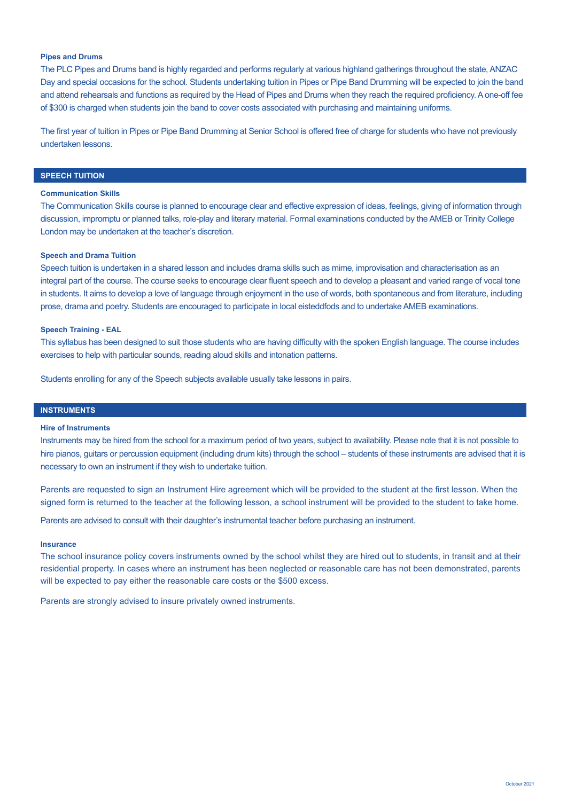# **Pipes and Drums**

The PLC Pipes and Drums band is highly regarded and performs regularly at various highland gatherings throughout the state, ANZAC Day and special occasions for the school. Students undertaking tuition in Pipes or Pipe Band Drumming will be expected to join the band and attend rehearsals and functions as required by the Head of Pipes and Drums when they reach the required proficiency. A one-off fee of \$300 is charged when students join the band to cover costs associated with purchasing and maintaining uniforms.

The first year of tuition in Pipes or Pipe Band Drumming at Senior School is offered free of charge for students who have not previously undertaken lessons.

# **SPEECH TUITION**

## **Communication Skills**

The Communication Skills course is planned to encourage clear and effective expression of ideas, feelings, giving of information through discussion, impromptu or planned talks, role-play and literary material. Formal examinations conducted by the AMEB or Trinity College London may be undertaken at the teacher's discretion.

## **Speech and Drama Tuition**

Speech tuition is undertaken in a shared lesson and includes drama skills such as mime, improvisation and characterisation as an integral part of the course. The course seeks to encourage clear fluent speech and to develop a pleasant and varied range of vocal tone in students. It aims to develop a love of language through enjoyment in the use of words, both spontaneous and from literature, including prose, drama and poetry. Students are encouraged to participate in local eisteddfods and to undertake AMEB examinations.

## **Speech Training - EAL**

This syllabus has been designed to suit those students who are having difficulty with the spoken English language. The course includes exercises to help with particular sounds, reading aloud skills and intonation patterns.

Students enrolling for any of the Speech subjects available usually take lessons in pairs.

# **INSTRUMENTS**

#### **Hire of Instruments**

Instruments may be hired from the school for a maximum period of two years, subject to availability. Please note that it is not possible to hire pianos, guitars or percussion equipment (including drum kits) through the school – students of these instruments are advised that it is necessary to own an instrument if they wish to undertake tuition.

Parents are requested to sign an Instrument Hire agreement which will be provided to the student at the first lesson. When the signed form is returned to the teacher at the following lesson, a school instrument will be provided to the student to take home.

Parents are advised to consult with their daughter's instrumental teacher before purchasing an instrument.

#### **Insurance**

The school insurance policy covers instruments owned by the school whilst they are hired out to students, in transit and at their residential property. In cases where an instrument has been neglected or reasonable care has not been demonstrated, parents will be expected to pay either the reasonable care costs or the \$500 excess.

Parents are strongly advised to insure privately owned instruments.